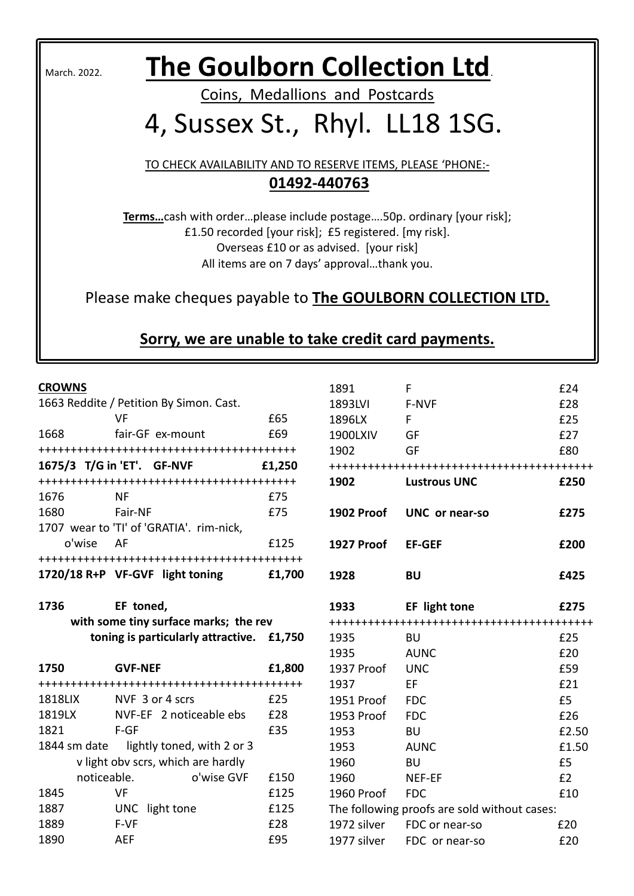# March. 2022. **The Goulborn Collection Ltd**.

Coins, Medallions and Postcards

# 4, Sussex St., Rhyl. LL18 1SG.

TO CHECK AVAILABILITY AND TO RESERVE ITEMS, PLEASE 'PHONE:- **01492-440763** 

**Terms…**cash with order…please include postage….50p. ordinary [your risk]; £1.50 recorded [your risk]; £5 registered. [my risk]. Overseas £10 or as advised. [your risk] All items are on 7 days' approval…thank you.

Please make cheques payable to **The GOULBORN COLLECTION LTD.**

## **Sorry, we are unable to take credit card payments.**

#### **CROWNS**

|                                       | 1663 Reddite / Petition By Simon. Cast.   |        |  |  |
|---------------------------------------|-------------------------------------------|--------|--|--|
|                                       | VF                                        | £65    |  |  |
| 1668                                  | fair-GF ex-mount                          | £69    |  |  |
|                                       |                                           |        |  |  |
|                                       | 1675/3 T/G in 'ET'. GF-NVF                | £1,250 |  |  |
|                                       |                                           |        |  |  |
| 1676                                  | ΝF                                        | £75    |  |  |
| 1680                                  | Fair-NF                                   | £75    |  |  |
|                                       | 1707 wear to 'TI' of 'GRATIA'. rim-nick,  |        |  |  |
| o'wise AF                             |                                           | £125   |  |  |
|                                       |                                           |        |  |  |
|                                       | 1720/18 R+P VF-GVF light toning           | £1,700 |  |  |
|                                       |                                           |        |  |  |
| 1736                                  | EF toned,                                 |        |  |  |
| with some tiny surface marks; the rev |                                           |        |  |  |
|                                       |                                           |        |  |  |
|                                       | toning is particularly attractive. £1,750 |        |  |  |
|                                       |                                           |        |  |  |
| 1750                                  | <b>GVF-NEF</b>                            | £1,800 |  |  |
|                                       |                                           |        |  |  |
|                                       | 1818LIX NVF 3 or 4 scrs                   | £25    |  |  |
| 1819LX                                | NVF-EF 2 noticeable ebs                   | £28    |  |  |
| 1821                                  | F-GF                                      | £35    |  |  |
|                                       | 1844 sm date lightly toned, with 2 or 3   |        |  |  |
|                                       | v light obv scrs, which are hardly        |        |  |  |
| noticeable.                           | o'wise GVF                                | £150   |  |  |
| 1845                                  | VF                                        | £125   |  |  |
| 1887                                  | UNC light tone                            | £125   |  |  |
| 1889                                  | F-VF                                      | £28    |  |  |

| 1891           | F                                            | £24   |
|----------------|----------------------------------------------|-------|
| 1893LVI        | F-NVF                                        | £28   |
| 1896LX         | F.                                           | £25   |
| 1900LXIV       | GF                                           | £27   |
| 1902           | GF                                           | £80   |
|                |                                              |       |
| 1902           | <b>Lustrous UNC</b>                          | £250  |
| 1902 Proof     | UNC or near-so                               | £275  |
|                |                                              |       |
| 1927 Proof     | <b>EF-GEF</b>                                | £200  |
| 1928           | <b>BU</b>                                    | £425  |
| 1933           | EF light tone                                | £275  |
|                |                                              |       |
| 1935           | BU                                           | £25   |
|                |                                              |       |
| 1935           | <b>AUNC</b>                                  | £20   |
| 1937 Proof     | <b>UNC</b>                                   | £59   |
| 1937           | EF                                           | £21   |
| 1951 Proof FDC |                                              | £5    |
| 1953 Proof     | <b>FDC</b>                                   | £26   |
| 1953           | <b>BU</b>                                    | £2.50 |
| 1953           | <b>AUNC</b>                                  | £1.50 |
| 1960           | <b>BU</b>                                    | £5    |
| 1960           | NEF-EF                                       | E2    |
| 1960 Proof FDC |                                              | £10   |
|                | The following proofs are sold without cases: |       |
|                | 1972 silver FDC or near-so                   | £20   |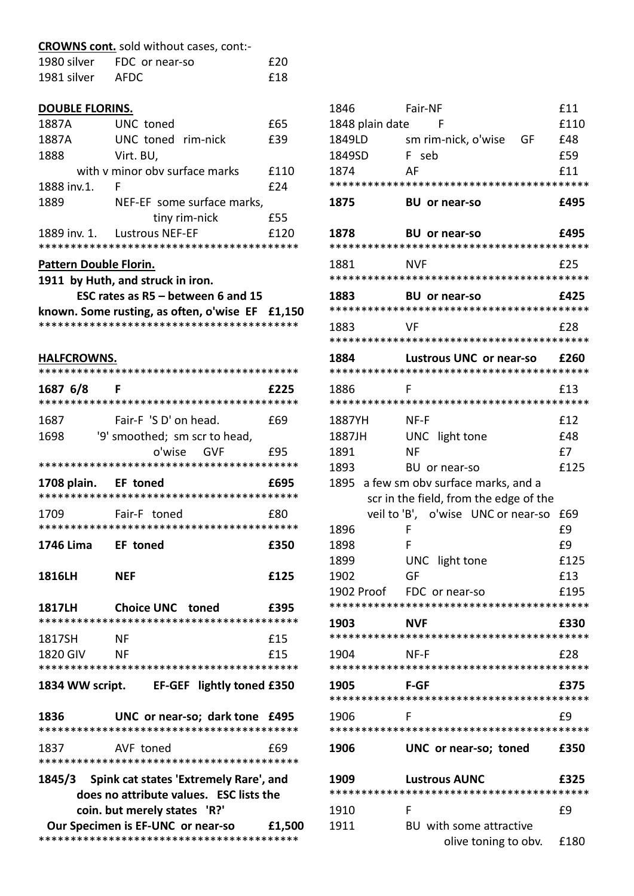|                        | <b>CROWNS cont.</b> sold without cases, cont:-    |        |
|------------------------|---------------------------------------------------|--------|
|                        | 1980 silver FDC or near-so                        | £20    |
| 1981 silver AFDC       |                                                   | £18    |
| <b>DOUBLE FLORINS.</b> |                                                   |        |
| 1887A <b>188</b>       | UNC toned                                         | £65    |
| 1887A                  | UNC toned rim-nick                                | £39    |
| 1888                   | Virt. BU,                                         |        |
|                        | with y minor oby surface marks                    | £110   |
| 1888 inv.1.<br>- F     |                                                   | £24    |
| 1889                   | NEF-EF some surface marks,                        |        |
|                        | tiny rim-nick                                     | £55    |
| 1889 inv. 1.           | <b>Lustrous NEF-EF</b>                            | £120   |
| Pattern Double Florin. |                                                   |        |
|                        | 1911 by Huth, and struck in iron.                 |        |
|                        | ESC rates as R5 - between 6 and 15                |        |
|                        | known. Some rusting, as often, o'wise $EF$ £1,150 |        |
|                        |                                                   |        |
| <b>HALFCROWNS.</b>     |                                                   |        |
|                        |                                                   |        |
| 1687 6/8               | F                                                 | f225   |
| 1687                   | Fair-F 'S D' on head.                             | £69    |
| 1698                   | '9' smoothed; sm scr to head,                     |        |
|                        | o'wise GVF                                        | f95    |
|                        |                                                   |        |
| 1708 plain.            | <b>EF toned</b>                                   | £695   |
| 1709                   | Fair-F toned                                      | £80    |
|                        |                                                   |        |
| 1746 Lima EF toned     |                                                   | £350   |
| 1816LH                 | <b>NEF</b>                                        | £125   |
| <b>1817LH</b>          | <b>Choice UNC toned</b>                           | £395   |
|                        |                                                   |        |
| 1817SH                 | <b>NF</b>                                         | £15    |
| 1820 GIV NF            |                                                   | £15    |
|                        |                                                   |        |
|                        | 1834 WW script. EF-GEF lightly toned £350         |        |
| 1836                   | UNC or near-so; dark tone £495                    |        |
| 1837                   | AVF toned                                         | £69    |
|                        |                                                   |        |
|                        | 1845/3 Spink cat states 'Extremely Rare', and     |        |
|                        | does no attribute values. ESC lists the           |        |
|                        | coin. but merely states 'R?'                      |        |
|                        | Our Specimen is EF-UNC or near-so                 | £1,500 |
|                        |                                                   |        |

| 1846               | Fair-NF                                              | £11         |
|--------------------|------------------------------------------------------|-------------|
| 1848 plain date    | F                                                    | £110        |
| 1849LD             | sm rim-nick, o'wise<br>GF G                          | £48         |
| 1849SD             | F seb                                                | £59         |
| 1874               | AF                                                   | f11         |
|                    |                                                      |             |
| 1875               | <b>BU</b> or near-so                                 | £495        |
| 1878               | <b>BU</b> or near-so                                 | £495        |
| 1881               | NVF                                                  | £25         |
|                    |                                                      |             |
| 1883               | <b>BU</b> or near-so                                 | £425        |
| 1883               | VF                                                   | £28         |
|                    |                                                      |             |
| 1884               | Lustrous UNC or near-so                              | f260        |
| 1886               | F                                                    | £13         |
|                    |                                                      |             |
| 1887YH             | NF-F                                                 | £12         |
| 1887JH             | UNC light tone                                       | £48         |
| 1891               | ΝF                                                   | £7          |
| 1893               | BU or near-so                                        | £125        |
|                    | 1895 a few sm obv surface marks, and a               |             |
|                    | scr in the field, from the edge of the               |             |
|                    | veil to 'B', o'wise UNC or near-so                   | £69         |
| 1896               | F                                                    | £9          |
| 1898               | F                                                    | £9          |
| 1899               | UNC light tone<br>GF                                 | £125        |
| 1902<br>1902 Proof | FDC or near-so                                       | £13<br>£195 |
|                    |                                                      |             |
| 1903               | NVF                                                  | £330        |
|                    |                                                      |             |
| 1904               | NF-F                                                 | £28         |
| 1905               | <b>F-GF</b>                                          | £375        |
| 1906               | F                                                    | £9          |
|                    |                                                      |             |
| 1906               | UNC or near-so; toned                                | £350        |
| 1909               | <b>Lustrous AUNC</b>                                 | £325        |
|                    |                                                      |             |
| 1910               | F                                                    | £9          |
| 1911               | BU with some attractive<br>olive toning to obv. £180 |             |
|                    |                                                      |             |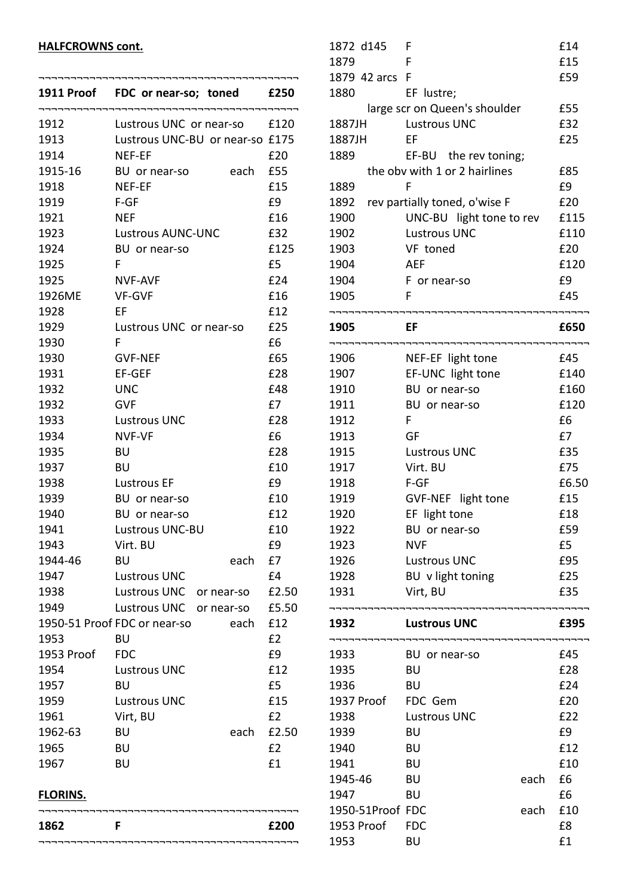#### **HALFCROWNS cont.**

|            | 1911 Proof FDC or near-so; toned £250 |       |
|------------|---------------------------------------|-------|
| 1912       | Lustrous UNC or near-so £120          |       |
| 1913       | Lustrous UNC-BU or near-so £175       |       |
| 1914       | <b>NEF-EF</b>                         | £20   |
| 1915-16    | BU or near-so<br>each                 | £55   |
| 1918       | NEF-EF                                | £15   |
| 1919       | $F-GF$                                | £9    |
| 1921       | <b>NEF</b>                            | £16   |
| 1923       | Lustrous AUNC-UNC                     | £32   |
| 1924       | BU or near-so                         | £125  |
| 1925       | F.                                    | £5    |
| 1925       | NVF-AVF                               | £24   |
| 1926ME     | <b>VF-GVF</b>                         | £16   |
| 1928       | EF                                    | £12   |
| 1929       | Lustrous UNC or near-so               | £25   |
| 1930       | F                                     | £6    |
| 1930       | <b>GVF-NEF</b>                        | £65   |
| 1931       | EF-GEF                                | £28   |
| 1932       | <b>UNC</b>                            | £48   |
| 1932       | <b>GVF</b>                            | £7    |
| 1933       | <b>Lustrous UNC</b>                   | £28   |
| 1934       | <b>NVF-VF</b>                         | £6    |
| 1935       | BU                                    | £28   |
| 1937       | BU                                    | £10   |
| 1938       | <b>Lustrous EF</b>                    | £9    |
| 1939       | BU or near-so                         | £10   |
| 1940       | BU or near-so                         | £12   |
| 1941       | <b>Lustrous UNC-BU</b>                | £10   |
| 1943       | Virt. BU                              | £9    |
| 1944-46    | <b>BU</b><br>each                     | £7    |
| 1947       | <b>Lustrous UNC</b>                   | £4    |
| 1938       | Lustrous UNC<br>or near-so            | £2.50 |
| 1949       | Lustrous UNC<br>or near-so            | £5.50 |
|            | 1950-51 Proof FDC or near-so<br>each  | £12   |
| 1953       | BU                                    | £2    |
| 1953 Proof | <b>FDC</b>                            | £9    |
| 1954       | <b>Lustrous UNC</b>                   | £12   |
| 1957       | BU                                    | £5    |
| 1959       | <b>Lustrous UNC</b>                   | £15   |
| 1961       | Virt, BU                              | E2    |
| 1962-63    | each<br>BU                            | £2.50 |
| 1965       | BU                                    | £2    |
| 1967       | <b>BU</b>                             | £1    |
|            |                                       |       |

## 1872 d145 F £14 1879 F £15 1879 42 arcs F  $659$ 1880 EF lustre; large scr on Queen's shoulder E55 1887JH Lustrous UNC £32 1887JH EF **£25** 1889 EF-BU the rev toning; the obv with 1 or 2 hairlines E85 1889 F f 59 1892 rev partially toned, o'wise F 620 1900 UNC-BU light tone to rev £115 1902 Lustrous UNC 6110 1903 VF toned £20 1904 AEF £120 1904 F or near-so 69 1905 F **E45** ¬¬¬¬¬¬¬¬¬¬¬¬¬¬¬¬¬¬¬¬¬¬¬¬¬¬¬¬¬¬¬¬¬¬¬¬¬¬¬¬¬ **1905 EF £650** ¬¬¬¬¬¬¬¬¬¬¬¬¬¬¬¬¬¬¬¬¬¬¬¬¬¬¬¬¬¬¬¬¬¬¬¬¬¬¬¬¬ 1906 NEF-EF light tone 645 1907 EF-UNC light tone £140 1910 BU or near-so e160 1911 BU or near-so **E120** 1912 F 6 1913 GF 67 1915 Lustrous UNC 635 1917 Virt. BU **£75** 1918 F-GF 6.50 1919 GVF-NEF light tone £15 1920 EF light tone **E18** 1922 BU or near-so £59 1923 NVF **£5** 1926 Lustrous UNC 695 1928 BU v light toning 625 1931 Virt, BU **£35** ¬¬¬¬¬¬¬¬¬¬¬¬¬¬¬¬¬¬¬¬¬¬¬¬¬¬¬¬¬¬¬¬¬¬¬¬¬¬¬¬¬ **1932 Lustrous UNC £395** ¬¬¬¬¬¬¬¬¬¬¬¬¬¬¬¬¬¬¬¬¬¬¬¬¬¬¬¬¬¬¬¬¬¬¬¬¬¬¬¬¬ 1933 BU or near-so £45 1935 BU £28 1936 BU **E24** 1937 Proof FDC Gem 620 1938 Lustrous UNC 622 1939 BU <u>E9</u> 1940 BU £12 1941 BU £10

1945-46 BU each £6 1947 BU <u>E6</u> 1950-51Proof FDC each £10 1953 Proof FDC 68 1953 BU £1

### **FLORINS.**

| 1862 | £200 |
|------|------|
|      |      |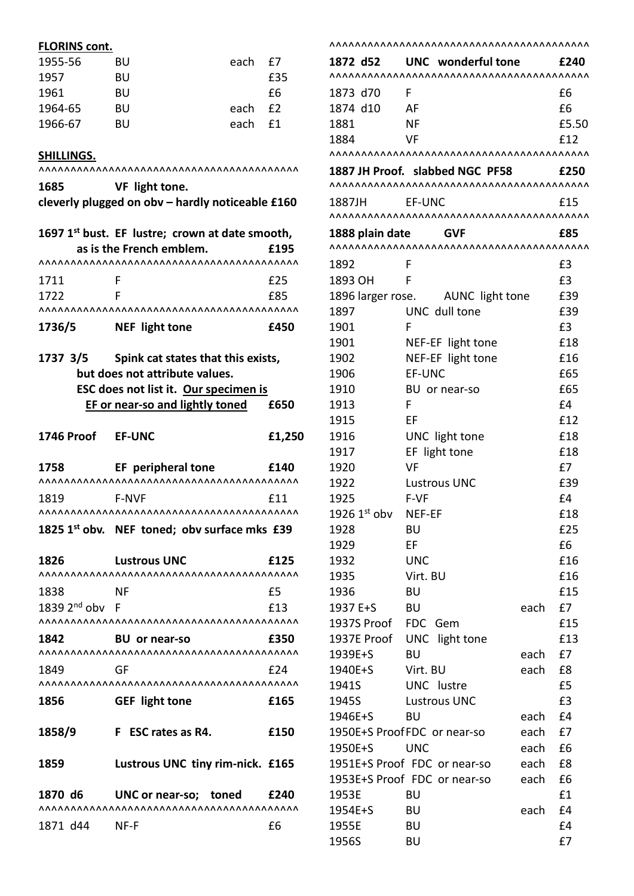### **FLORINS cont.**

| 1955-56 | BU | each £7 |     |
|---------|----|---------|-----|
| 1957    | BU |         | £35 |
| 1961    | BU |         | fб  |
| 1964-65 | BU | each £2 |     |
| 1966-67 | BU | each    | f1. |

#### **SHILLINGS.**

|                                    | \^^^^^^^^^^^^^^^^^^^^^^^                                    |                  |
|------------------------------------|-------------------------------------------------------------|------------------|
| 1685                               | VF light tone.                                              |                  |
|                                    | cleverly plugged on obv - hardly noticeable £160            |                  |
|                                    | 1697 1 <sup>st</sup> bust. EF lustre; crown at date smooth, |                  |
|                                    | as is the French emblem.                                    | £195             |
|                                    |                                                             |                  |
| 1711                               | F                                                           | £25              |
| 1722                               | F                                                           | £85              |
| <b>AAAAAAAAAAAA</b>                |                                                             |                  |
|                                    | 1736/5 NEF light tone                                       | £450             |
|                                    | 1737 3/5 Spink cat states that this exists,                 |                  |
|                                    | but does not attribute values.                              |                  |
|                                    | ESC does not list it. Our specimen is                       |                  |
|                                    | EF or near-so and lightly toned                             | £650             |
|                                    |                                                             |                  |
| 1746 Proof                         | <b>EF-UNC</b>                                               | £1,250           |
|                                    |                                                             |                  |
|                                    | 1758 EF peripheral tone £140                                |                  |
|                                    |                                                             |                  |
| 1819                               | <b>F-NVF</b>                                                | £11              |
|                                    | <b>^^^^^^^^^^^^^^^^^^^^^^^^^^^^^^^^^^^^</b>                 |                  |
|                                    | 1825 1st obv. NEF toned; obv surface mks £39                |                  |
| 1826                               | <b>Lustrous UNC</b>                                         | £125             |
|                                    | <b><i>AAAAAAAAAAAAAAAAAAAAAAAAAAAAAA</i></b>                | <b>\^^^^^^^^</b> |
| 1838                               | NF                                                          | £5               |
| 1839 2 $^{\mathsf{nd}}$ obv $\:$ F |                                                             | £13              |
|                                    |                                                             | <b>AAAAAAAA</b>  |
| 1842                               | <b>BU</b> or near-so                                        | £350             |
|                                    |                                                             |                  |
| 1849                               | GF                                                          | £24              |
|                                    |                                                             |                  |
| 1856                               | <b>GEF</b> light tone                                       | £165             |
| 1858/9                             | F ESC rates as R4.                                          | £150             |
| 1859                               | Lustrous UNC tiny rim-nick. £165                            |                  |
|                                    | 1870 d6 UNC or near-so; toned £240                          |                  |
|                                    |                                                             |                  |
| 1871 d44 NF-F                      |                                                             | £6               |
|                                    |                                                             |                  |

| 1872 d52        | UNC wonderful tone                |      | £240  |
|-----------------|-----------------------------------|------|-------|
|                 |                                   |      |       |
| 1873 d70        | F                                 |      | £6    |
| 1874 d10        | AF                                |      | £6    |
| 1881            | <b>NF</b>                         |      | £5.50 |
| 1884            | VF                                |      | £12   |
|                 |                                   |      |       |
|                 | 1887 JH Proof. slabbed NGC PF58   |      | £250  |
|                 |                                   |      |       |
| 1887JH          | EF-UNC                            |      | £15   |
|                 |                                   |      |       |
| 1888 plain date | <b>GVF</b>                        |      | £85   |
|                 |                                   |      |       |
| 1892            | F                                 |      | £3    |
| 1893 OH         | F                                 |      | £3    |
|                 | 1896 larger rose. AUNC light tone |      | £39   |
| 1897            | UNC dull tone                     |      | £39   |
| 1901            | F                                 |      | £3    |
| 1901            | NEF-EF light tone                 |      | £18   |
| 1902            | NEF-EF light tone                 |      | £16   |
| 1906            | EF-UNC                            |      | £65   |
| 1910            | BU or near-so                     |      | £65   |
| 1913            | F                                 |      | E4    |
| 1915            | EF                                |      | £12   |
| 1916            | UNC light tone                    |      | £18   |
| 1917            | EF light tone                     |      | £18   |
| 1920            | <b>VF</b>                         |      | £7    |
| 1922            | <b>Lustrous UNC</b>               |      | £39   |
| 1925            | F-VF                              |      | £4    |
| 1926 1st obv    | NEF-EF                            |      | £18   |
| 1928            | BU                                |      | £25   |
| 1929            | EF                                |      | £6    |
| 1932            | <b>UNC</b>                        |      | £16   |
| 1935            | Virt. BU                          |      | £16   |
| 1936            | <b>BU</b>                         |      | £15   |
| 1937 E+S        | <b>BU</b>                         | each | £7    |
| 1937S Proof     | FDC Gem                           |      | £15   |
| 1937E Proof     | UNC light tone                    |      | £13   |
| 1939E+S         | <b>BU</b>                         | each | £7    |
| 1940E+S         | Virt. BU                          | each | £8    |
| 1941S           | UNC lustre                        |      | £5    |
| 1945S           | <b>Lustrous UNC</b>               |      | £3    |
| 1946E+S         | <b>BU</b>                         | each | £4    |
|                 | 1950E+S Proof FDC or near-so      | each | £7    |
| 1950E+S         | <b>UNC</b>                        | each | £6    |
|                 | 1951E+S Proof FDC or near-so      | each | £8    |
|                 | 1953E+S Proof FDC or near-so      | each | £6    |
| 1953E           | BU                                |      | £1    |
| 1954E+S         | BU                                | each | £4    |
| 1955E           | BU                                |      | £4    |
| 1956S           | BU                                |      | £7    |
|                 |                                   |      |       |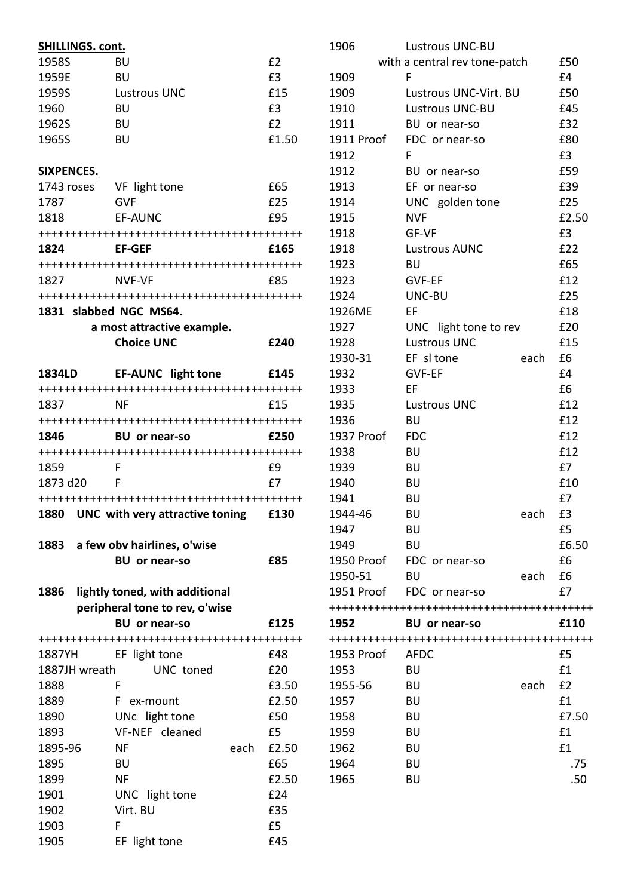| SHILLINGS. cont.                                                                                                                                                                                                                |                                  |           |
|---------------------------------------------------------------------------------------------------------------------------------------------------------------------------------------------------------------------------------|----------------------------------|-----------|
| 1958S                                                                                                                                                                                                                           | BU                               | £2        |
| 1959E                                                                                                                                                                                                                           | BU                               | £3        |
| 1959S                                                                                                                                                                                                                           | <b>Lustrous UNC</b>              | £15       |
| 1960                                                                                                                                                                                                                            | BU                               | £3        |
| 1962S                                                                                                                                                                                                                           | BU                               | E2        |
| 1965S                                                                                                                                                                                                                           | <b>BU</b>                        | £1.50     |
|                                                                                                                                                                                                                                 |                                  |           |
| SIXPENCES.                                                                                                                                                                                                                      |                                  |           |
| 1743 roses VF light tone                                                                                                                                                                                                        |                                  | £65       |
| 1787                                                                                                                                                                                                                            | <b>GVF</b>                       | £25       |
|                                                                                                                                                                                                                                 |                                  | £95       |
| 1818                                                                                                                                                                                                                            | <b>EF-AUNC</b>                   |           |
|                                                                                                                                                                                                                                 |                                  |           |
| 1824                                                                                                                                                                                                                            | <b>EF-GEF</b>                    | £165      |
|                                                                                                                                                                                                                                 |                                  |           |
| 1827 — 1827 — 1827 — 1827 — 1827 — 1827 — 1828 — 1828 — 1828 — 1828 — 1828 — 1828 — 1828 — 1828 — 1828 — 1828 — 1828 — 1828 — 1828 — 1828 — 1828 — 1828 — 1828 — 1828 — 1828 — 1828 — 1828 — 1828 — 1828 — 1828 — 1828 — 1828 — | NVF-VF                           | £85       |
|                                                                                                                                                                                                                                 |                                  |           |
| 1831 slabbed NGC MS64.                                                                                                                                                                                                          |                                  |           |
|                                                                                                                                                                                                                                 | a most attractive example.       |           |
|                                                                                                                                                                                                                                 | <b>Choice UNC</b>                | £240      |
|                                                                                                                                                                                                                                 |                                  |           |
| <b>1834LD</b>                                                                                                                                                                                                                   | <b>EF-AUNC</b> light tone        | £145      |
|                                                                                                                                                                                                                                 |                                  |           |
| 1837                                                                                                                                                                                                                            | NF                               | £15       |
|                                                                                                                                                                                                                                 |                                  |           |
| 1846 — 184                                                                                                                                                                                                                      | BU or near-so                    | £250      |
|                                                                                                                                                                                                                                 |                                  |           |
| 1859                                                                                                                                                                                                                            | F                                | £9        |
| 1873 d20                                                                                                                                                                                                                        | F                                | £7        |
|                                                                                                                                                                                                                                 |                                  |           |
| 1880                                                                                                                                                                                                                            | UNC with very attractive toning  | £130      |
|                                                                                                                                                                                                                                 |                                  |           |
|                                                                                                                                                                                                                                 | 1883 a few obv hairlines, o'wise |           |
|                                                                                                                                                                                                                                 | <b>BU</b> or near-so             | £85       |
|                                                                                                                                                                                                                                 |                                  |           |
| 1886                                                                                                                                                                                                                            | lightly toned, with additional   |           |
|                                                                                                                                                                                                                                 | peripheral tone to rev, o'wise   |           |
|                                                                                                                                                                                                                                 | <b>BU</b> or near-so             | £125      |
|                                                                                                                                                                                                                                 |                                  |           |
|                                                                                                                                                                                                                                 |                                  |           |
| 1887YH                                                                                                                                                                                                                          | EF light tone                    | £48       |
| 1887JH wreath                                                                                                                                                                                                                   | UNC toned                        | £20       |
| 1888                                                                                                                                                                                                                            | F                                | £3.50     |
| 1889                                                                                                                                                                                                                            | F<br>ex-mount                    | £2.50     |
| 1890                                                                                                                                                                                                                            |                                  | £50       |
| 1893                                                                                                                                                                                                                            | UNc light tone<br>VF-NEF cleaned | £5        |
|                                                                                                                                                                                                                                 | each                             |           |
| 1895-96                                                                                                                                                                                                                         | ΝF                               | £2.50     |
| 1895                                                                                                                                                                                                                            | BU                               | £65       |
| 1899                                                                                                                                                                                                                            | NF                               | £2.50     |
| 1901                                                                                                                                                                                                                            | UNC light tone                   | £24       |
| 1902                                                                                                                                                                                                                            | Virt. BU                         | £35       |
| 1903<br>1905                                                                                                                                                                                                                    | F<br>EF light tone               | £5<br>£45 |

| 1906       | <b>Lustrous UNC-BU</b>        |      |             |
|------------|-------------------------------|------|-------------|
|            | with a central rev tone-patch |      | £50         |
| 1909       | F                             |      | £4          |
| 1909       | Lustrous UNC-Virt. BU         |      | £50         |
| 1910       | <b>Lustrous UNC-BU</b>        |      | £45         |
| 1911       | BU or near-so                 |      | £32         |
| 1911 Proof | FDC or near-so                |      | £80         |
| 1912       | F                             |      | £3          |
| 1912       | BU or near-so                 |      | £59         |
| 1913       | EF or near-so                 |      | £39         |
| 1914       | UNC golden tone               |      | £25         |
| 1915       | <b>NVF</b>                    |      | £2.50       |
| 1918       | GF-VF                         |      | £3          |
| 1918       | <b>Lustrous AUNC</b>          |      | £22         |
| 1923       | <b>BU</b>                     |      | £65         |
| 1923       | GVF-EF                        |      | £12         |
| 1924       | UNC-BU                        |      | £25         |
| 1926ME     | EF                            |      | £18         |
| 1927       | UNC light tone to rev         |      | £20         |
| 1928       | <b>Lustrous UNC</b>           |      | £15         |
| 1930-31    | EF sl tone                    | each | £6          |
| 1932       | GVF-EF                        |      | £4          |
| 1933       | EF                            |      | £6          |
| 1935       | <b>Lustrous UNC</b>           |      | £12         |
| 1936       | BU                            |      | £12         |
| 1937 Proof | <b>FDC</b>                    |      | £12         |
| 1938       | BU                            |      | £12         |
| 1939       | <b>BU</b>                     |      | £7          |
| 1940       | <b>BU</b>                     |      | £10         |
| 1941       | BU                            |      | £7          |
|            |                               |      |             |
| 1944-46    | BU                            | each | £3<br>£5    |
| 1947       | BU                            |      |             |
| 1949       | <b>BU</b>                     |      | £6.50<br>£6 |
| 1950 Proof | FDC or near-so                |      |             |
| 1950-51    | BU                            | each | £6          |
| 1951 Proof | FDC or near-so                |      | £7          |
| 1952       | BU or near-so                 |      | £110        |
|            |                               |      |             |
| 1953 Proof | AFDC                          |      | £5          |
| 1953       | <b>BU</b>                     |      | £1          |
| 1955-56    | BU                            | each | £2          |
| 1957       | BU                            |      | £1          |
| 1958       | <b>BU</b>                     |      | £7.50       |
| 1959       | BU                            |      | £1          |
| 1962       | <b>BU</b>                     |      | £1          |
| 1964       | <b>BU</b>                     |      | .75         |
| 1965       | BU                            |      | .50         |
|            |                               |      |             |
|            |                               |      |             |
|            |                               |      |             |
|            |                               |      |             |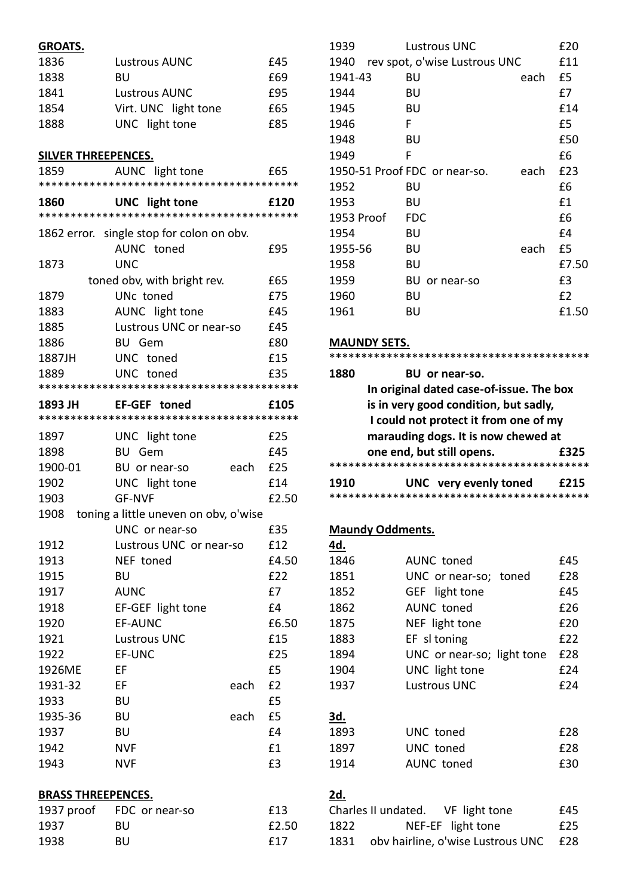| <b>GROATS.</b>             |                                            |      |       |
|----------------------------|--------------------------------------------|------|-------|
| 1836                       | <b>Lustrous AUNC</b>                       |      | £45   |
| 1838                       | BU                                         |      | £69   |
| 1841                       | <b>Lustrous AUNC</b>                       |      | £95   |
| 1854                       | Virt. UNC light tone                       |      | £65   |
| 1888                       | UNC light tone                             |      | £85   |
|                            |                                            |      |       |
| <b>SILVER THREEPENCES.</b> |                                            |      |       |
| 1859                       | AUNC light tone                            |      | £65   |
|                            |                                            |      |       |
| 1860                       | <b>UNC</b> light tone                      |      | £120  |
|                            |                                            |      |       |
|                            | 1862 error. single stop for colon on obv.  |      |       |
|                            | AUNC toned                                 |      | £95   |
| 1873                       | <b>UNC</b>                                 |      |       |
|                            | toned obv, with bright rev.                |      | £65   |
| 1879                       | UNc toned                                  |      | £75   |
| 1883                       | AUNC light tone                            |      | £45   |
| 1885                       | Lustrous UNC or near-so                    |      | £45   |
| 1886                       | <b>BU</b> Gem                              |      | £80   |
| 1887JH                     | UNC toned                                  |      | £15   |
| 1889                       | UNC toned                                  |      | £35   |
|                            |                                            |      |       |
| 1893 JH                    | EF-GEF toned                               |      | £105  |
|                            |                                            |      |       |
| 1897                       | UNC light tone                             |      | £25   |
| 1898                       | <b>BU</b> Gem                              |      | £45   |
| 1900-01                    | BU or near-so                              | each | £25   |
| 1902                       | UNC light tone                             |      | £14   |
| 1903                       | <b>GF-NVF</b>                              |      | £2.50 |
|                            | 1908 toning a little uneven on obv, o'wise |      |       |
|                            | UNC or near-so                             |      | £35   |
| 1912                       | Lustrous UNC or near-so                    |      | £12   |
| 1913                       | NEF toned                                  |      | £4.50 |
| 1915                       | BU                                         |      | £22   |
| 1917                       | <b>AUNC</b>                                |      | £7    |
| 1918                       | EF-GEF light tone                          |      | £4    |
| 1920                       | EF-AUNC                                    |      | £6.50 |
| 1921                       | <b>Lustrous UNC</b>                        |      | £15   |
| 1922                       | EF-UNC                                     |      | £25   |
| 1926ME                     | EF                                         |      | £5    |
| 1931-32                    | EF                                         | each | £2    |
| 1933                       | <b>BU</b>                                  |      | £5    |
| 1935-36                    | <b>BU</b>                                  | each | £5    |
| 1937                       | BU                                         |      | £4    |
| 1942                       | <b>NVF</b>                                 |      | £1    |
| 1943                       | <b>NVF</b>                                 |      | £3    |
| <b>BRASS THREEPENCES.</b>  |                                            |      |       |
| 1937 proof                 | FDC or near-so                             |      | £13   |
| 1937                       | <b>BU</b>                                  |      | £2.50 |
| 1938                       | BU                                         |      | £17   |
|                            |                                            |      |       |

| 1939       | <b>Lustrous UNC</b>           |      | £20   |
|------------|-------------------------------|------|-------|
| 1940       | rev spot, o'wise Lustrous UNC |      | £11   |
| 1941-43    | BU                            | each | £5    |
| 1944       | BU                            |      | £7    |
| 1945       | BU                            |      | £14   |
| 1946       | F                             |      | £5    |
| 1948       | BU                            |      | £50   |
| 1949       | F                             |      | £6    |
|            | 1950-51 Proof FDC or near-so. | each | £23   |
| 1952       | BU                            |      | £6    |
| 1953       | BU                            |      | £1    |
| 1953 Proof | <b>FDC</b>                    |      | £6    |
| 1954       | BU                            |      | £4    |
| 1955-56    | BU                            | each | £5    |
| 1958       | BU                            |      | £7.50 |
| 1959       | BU<br>or near-so              |      | £3    |
| 1960       | BU                            |      | £2    |
| 1961       | BU                            |      | £1.50 |
|            |                               |      |       |

## **MAUNDY SETS.**

| 1880 | BU or near-so.                           |  |
|------|------------------------------------------|--|
|      | In original dated case-of-issue. The box |  |
|      | is in very good condition, but sadly,    |  |
|      | I could not protect it from one of my    |  |
|      | marauding dogs. It is now chewed at      |  |
|      | one end, but still opens.<br>£325        |  |
|      |                                          |  |
| 1910 | UNC very evenly toned<br>£215            |  |
|      |                                          |  |

#### **Maundy Oddments.**

| 4d.        |                            |     |
|------------|----------------------------|-----|
| 1846       | <b>AUNC</b> toned          | £45 |
| 1851       | UNC or near-so; toned      | £28 |
| 1852       | GEF light tone             | £45 |
| 1862       | <b>AUNC</b> toned          | £26 |
| 1875       | NEF light tone             | £20 |
| 1883       | EF sl toning               | £22 |
| 1894       | UNC or near-so; light tone | £28 |
| 1904       | UNC light tone             | £24 |
| 1937       | <b>Lustrous UNC</b>        | £24 |
|            |                            |     |
| <u>3d.</u> |                            |     |
| 1893       | UNC toned                  | £28 |
| 1897       | UNC toned                  | £28 |
| 1914       | AUNC toned                 | £30 |
|            |                            |     |

## **2d.**

|      | Charles II undated.<br>VF light tone  | £45. |
|------|---------------------------------------|------|
| 1822 | NEF-EF light tone                     | £25  |
| 1831 | oby hairline, o'wise Lustrous UNC £28 |      |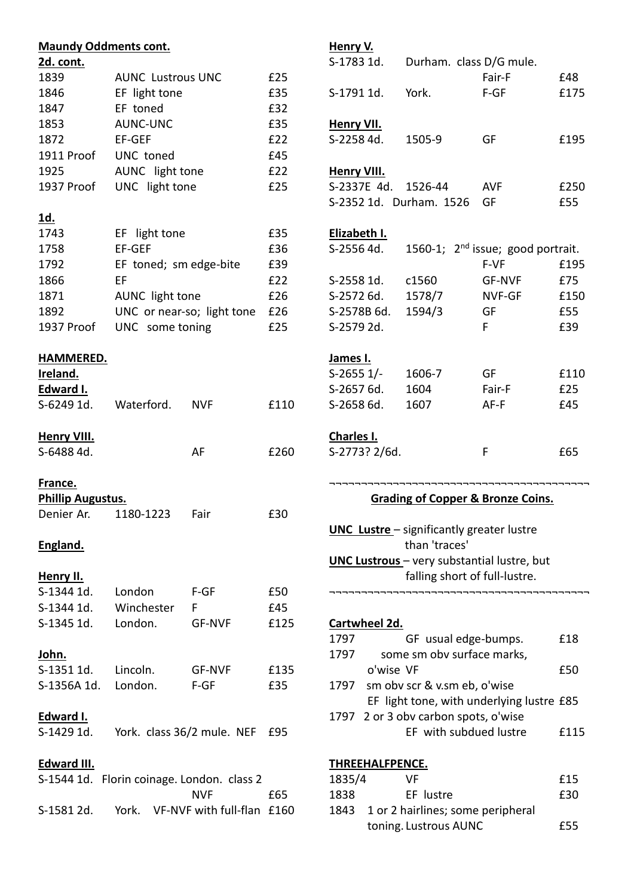| <b>Maundy Oddments cont.</b> |                                            |                            |      | Henry V.           |                 |                                                            |                                              |      |
|------------------------------|--------------------------------------------|----------------------------|------|--------------------|-----------------|------------------------------------------------------------|----------------------------------------------|------|
| 2d. cont.                    |                                            |                            |      | S-1783 1d.         |                 | Durham. class D/G mule.                                    |                                              |      |
| 1839                         | <b>AUNC Lustrous UNC</b>                   |                            | £25  |                    |                 |                                                            | Fair-F                                       | £48  |
| 1846                         | EF light tone                              |                            | £35  | S-1791 1d.         |                 | York.                                                      | $F-GF$                                       | £175 |
| 1847                         | EF toned                                   |                            | £32  |                    |                 |                                                            |                                              |      |
| 1853                         | AUNC-UNC                                   |                            | £35  | <b>Henry VII.</b>  |                 |                                                            |                                              |      |
| 1872                         | EF-GEF                                     |                            | £22  | S-2258 4d.         |                 | 1505-9                                                     | GF                                           | £195 |
| 1911 Proof                   | UNC toned                                  |                            | £45  |                    |                 |                                                            |                                              |      |
| 1925                         | AUNC light tone                            |                            | £22  | <b>Henry VIII.</b> |                 |                                                            |                                              |      |
| 1937 Proof                   | UNC light tone                             |                            | £25  |                    | S-2337E 4d.     | 1526-44                                                    | <b>AVF</b>                                   | £250 |
|                              |                                            |                            |      |                    |                 | S-2352 1d. Durham. 1526                                    | GF                                           | £55  |
| <u>1d.</u>                   |                                            |                            |      |                    |                 |                                                            |                                              |      |
| 1743                         | EF light tone                              |                            | £35  | Elizabeth I.       |                 |                                                            |                                              |      |
| 1758                         | EF-GEF                                     |                            | £36  | S-2556 4d.         |                 |                                                            | 1560-1; $2nd$ issue; good portrait.          |      |
| 1792                         |                                            |                            | £39  |                    |                 |                                                            | F-VF                                         | £195 |
|                              | EF toned; sm edge-bite                     |                            |      |                    |                 |                                                            |                                              |      |
| 1866                         | EF                                         |                            | £22  | S-2558 1d.         |                 | c1560                                                      | <b>GF-NVF</b>                                | £75  |
| 1871                         | AUNC light tone                            |                            | £26  | S-2572 6d.         |                 | 1578/7                                                     | NVF-GF                                       | £150 |
| 1892                         | UNC or near-so; light tone                 |                            | £26  |                    | S-2578B 6d.     | 1594/3                                                     | GF                                           | £55  |
| 1937 Proof                   | UNC some toning                            |                            | £25  | S-2579 2d.         |                 |                                                            | F                                            | £39  |
|                              |                                            |                            |      |                    |                 |                                                            |                                              |      |
| <b>HAMMERED.</b>             |                                            |                            |      | James I.           |                 |                                                            |                                              |      |
| Ireland.                     |                                            |                            |      | $S-2655$ 1/-       |                 | 1606-7                                                     | GF                                           | £110 |
| Edward I.                    |                                            |                            |      | S-2657 6d.         |                 | 1604                                                       | Fair-F                                       | £25  |
| S-6249 1d.                   | Waterford.                                 | <b>NVF</b>                 | £110 | S-2658 6d.         |                 | 1607                                                       | AF-F                                         | £45  |
|                              |                                            |                            |      |                    |                 |                                                            |                                              |      |
| <b>Henry VIII.</b>           |                                            |                            |      | Charles I.         |                 |                                                            |                                              |      |
| S-6488 4d.                   |                                            | AF                         | £260 |                    | S-2773? 2/6d.   |                                                            | F                                            | £65  |
|                              |                                            |                            |      |                    |                 |                                                            |                                              |      |
| France.                      |                                            |                            |      |                    |                 |                                                            |                                              |      |
| <b>Phillip Augustus.</b>     |                                            |                            |      |                    |                 |                                                            | <b>Grading of Copper &amp; Bronze Coins.</b> |      |
| Denier Ar.                   | 1180-1223                                  | Fair                       | £30  |                    |                 |                                                            |                                              |      |
|                              |                                            |                            |      |                    |                 | <b>UNC Lustre</b> - significantly greater lustre           |                                              |      |
| England.                     |                                            |                            |      |                    |                 | than 'traces'                                              |                                              |      |
|                              |                                            |                            |      |                    |                 |                                                            | UNC Lustrous - very substantial lustre, but  |      |
| Henry II.                    |                                            |                            |      |                    |                 | falling short of full-lustre.                              |                                              |      |
| S-1344 1d.                   | London                                     | $F-GF$                     | £50  |                    |                 |                                                            |                                              |      |
| S-1344 1d.                   | Winchester                                 | F.                         | £45  |                    |                 |                                                            |                                              |      |
| S-1345 1d.                   | London.                                    | <b>GF-NVF</b>              | £125 |                    | Cartwheel 2d.   |                                                            |                                              |      |
|                              |                                            |                            |      | 1797               |                 | GF usual edge-bumps.                                       |                                              | £18  |
| <u>John.</u>                 |                                            |                            |      | 1797               |                 | some sm obv surface marks,                                 |                                              |      |
| S-1351 1d.                   | Lincoln.                                   | <b>GF-NVF</b>              | £135 |                    | o'wise VF       |                                                            |                                              | £50  |
| S-1356A 1d.                  | London.                                    | $F-GF$                     | £35  | 1797               |                 | sm obv scr & v.sm eb, o'wise                               |                                              |      |
|                              |                                            |                            |      |                    |                 |                                                            | EF light tone, with underlying lustre £85    |      |
| Edward I.                    |                                            |                            |      |                    |                 | 1797 2 or 3 obv carbon spots, o'wise                       |                                              |      |
| S-1429 1d.                   | York. class 36/2 mule. NEF                 |                            | £95  |                    |                 | EF with subdued lustre                                     |                                              | £115 |
|                              |                                            |                            |      |                    |                 |                                                            |                                              |      |
| <b>Edward III.</b>           |                                            |                            |      |                    | THREEHALFPENCE. |                                                            |                                              |      |
|                              |                                            |                            |      |                    |                 | <b>VF</b>                                                  |                                              | £15  |
|                              |                                            |                            |      |                    |                 |                                                            |                                              |      |
|                              | S-1544 1d. Florin coinage. London. class 2 |                            |      | 1835/4             |                 |                                                            |                                              |      |
|                              |                                            | <b>NVF</b>                 | £65  | 1838               |                 | EF lustre                                                  |                                              | £30  |
| S-1581 2d.                   | York.                                      | VF-NVF with full-flan £160 |      | 1843               |                 | 1 or 2 hairlines; some peripheral<br>toning. Lustrous AUNC |                                              | £55  |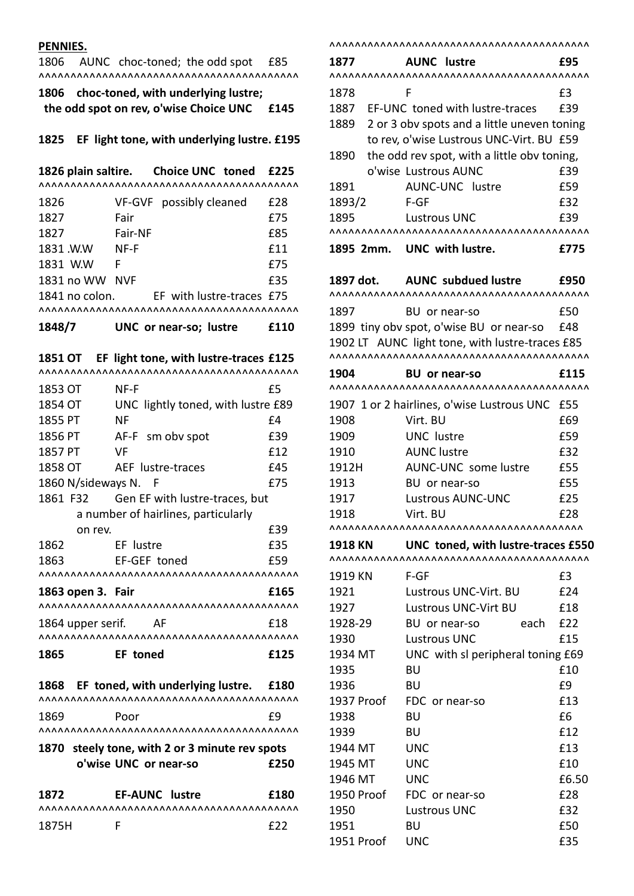#### **PENNIES.**

1806 AUNC choc-toned; the odd spot £85 ^^^^^^^^^^^^^^^^^^^^^^^^^^^^^^^^^^^^^^^^^

| 1806 choc-toned, with underlying lustre; |      |
|------------------------------------------|------|
| the odd spot on rev, o'wise Choice UNC   | £145 |

#### **1825 EF light tone, with underlying lustre. £195**

**1826 plain saltire. Choice UNC toned £225** ^^^^^^^^^^^^^^^^^^^^^^^^^^^^^^^^^^^^^^^^^

| 1826           |         | VF-GVF possibly cleaned   | £28 |
|----------------|---------|---------------------------|-----|
| 1827           | Fair    |                           | £75 |
| 1827           | Fair-NF |                           | £85 |
| 1831.W.W       | NF-F    |                           | £11 |
| 1831 W.W       | F       |                           | £75 |
| 1831 no WW NVF |         |                           | £35 |
| 1841 no colon. |         | EF with lustre-traces £75 |     |
|                |         |                           |     |

**1848/7 UNC or near-so; lustre £110**

**1851 OT EF light tone, with lustre-traces £125**

| ,,,,,,,,,,,,,,,,,    | \^^^^^^^^^^^^^^^^^^^^^                         |      |
|----------------------|------------------------------------------------|------|
| 1853 OT              | NF-F                                           | £5   |
| 1854 OT              | UNC lightly toned, with lustre £89             |      |
| 1855 PT              | <b>NF</b>                                      | £4   |
| 1856 PT              | AF-F sm obv spot                               | £39  |
| 1857 PT              | VF                                             | £12  |
| 1858 OT              | AEF lustre-traces                              | £45  |
| 1860 N/sideways N. F |                                                | £75  |
| 1861 F32             | Gen EF with lustre-traces, but                 |      |
|                      | a number of hairlines, particularly            |      |
| on rev.              |                                                | £39  |
| 1862                 | EF lustre                                      | £35  |
| 1863                 | EF-GEF toned                                   | £59  |
|                      |                                                |      |
| 1863 open 3. Fair    |                                                | £165 |
|                      |                                                |      |
| 1864 upper serif.    | – AF                                           | £18  |
|                      |                                                |      |
| 1865                 | EF toned                                       | £125 |
|                      | 1868 EF toned, with underlying lustre.         | £180 |
|                      |                                                |      |
| 1869                 | Poor                                           | £9   |
|                      |                                                |      |
|                      | 1870 steely tone, with 2 or 3 minute rev spots |      |
|                      | o'wise UNC or near-so                          | £250 |
| 1872                 | <b>EF-AUNC lustre</b>                          | £180 |
|                      |                                                |      |

1875H F **£22** 

^^^^^^^^^^^^^^^^^^^^^^^^^^^^^^^^^^^^^^^^^ **1877 AUNC lustre £95** ^^^^^^^^^^^^^^^^^^^^^^^^^^^^^^^^^^^^^^^^^ 1878 F **E3** 1887 EF-UNC toned with lustre-traces £39 1889 2 or 3 obv spots and a little uneven toning to rev, o'wise Lustrous UNC-Virt. BU £59 1890 the odd rev spot, with a little obv toning, o'wise Lustrous AUNC £39 1891 AUNC-UNC lustre 659 1893/2 F-GF **£32** 1895 Lustrous UNC £39 ^^^^^^^^^^^^^^^^^^^^^^^^^^^^^^^^^^^^^^^^^ **1895 2mm. UNC with lustre. £775 1897 dot. AUNC subdued lustre £950** ^^^^^^^^^^^^^^^^^^^^^^^^^^^^^^^^^^^^^^^^^ 1897 BU or near-so £50 1899 tiny obv spot, o'wise BU or near-so £48 1902 LT AUNC light tone, with lustre-traces £85 ^^^^^^^^^^^^^^^^^^^^^^^^^^^^^^^^^^^^^^^^^ **1904 BU or near-so £115** ^^^^^^^^^^^^^^^^^^^^^^^^^^^^^^^^^^^^^^^^^ 1907 1 or 2 hairlines, o'wise Lustrous UNC £55 1908 Virt. BU £69 1909 UNC lustre **E59** 1910 AUNC lustre £32 1912H AUNC-UNC some lustre £55 1913 BU or near-so £55 1917 Lustrous AUNC-UNC £25 1918 Virt. BU **£28** ^^^^^^^^^^^^^^^^^^^^^^^^^^^^^^^^^^^^^^^^ **1918 KN UNC toned, with lustre-traces £550**  ^^^^^^^^^^^^^^^^^^^^^^^^^^^^^^^^^^^^^^^^^ 1919 KN F-GF 63 1921 Lustrous UNC-Virt. BU £24 1927 Lustrous UNC-Virt BU £18 1928-29 BU or near-so each £22 1930 Lustrous UNC 615 1934 MT UNC with sl peripheral toning £69 1935 BU £10 1936 BU <u>E9</u> 1937 Proof FDC or near-so **E13** 1938 BU <u>6</u>6 1939 BU £12 1944 MT UNC £13 1945 MT UNC £10 1946 MT UNC £6.50 1950 Proof FDC or near-so **E28** 1950 Lustrous UNC 632 1951 BU £50

1951 Proof UNC 635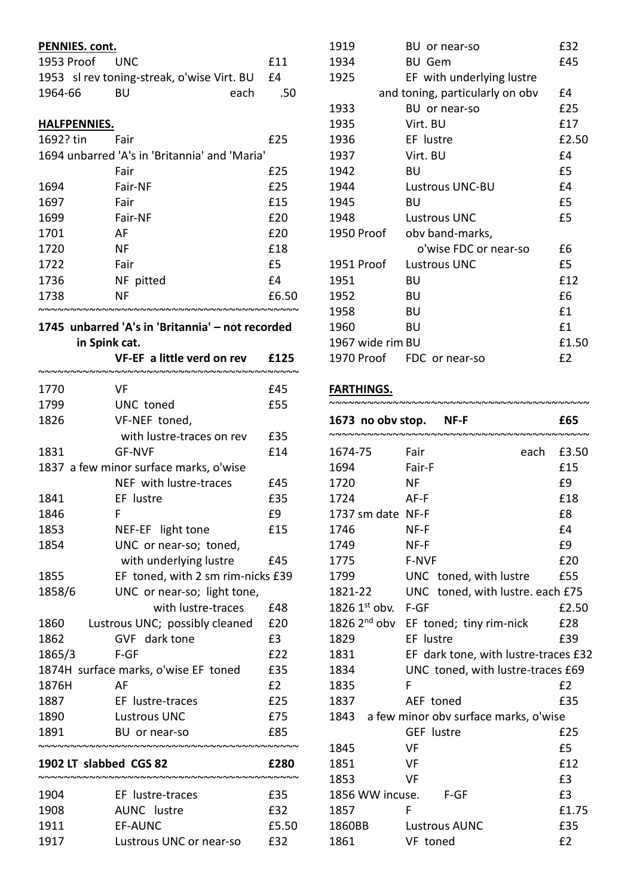| PENNIES. cont. |                                               |      |       |
|----------------|-----------------------------------------------|------|-------|
| 1953 Proof     | UNC.                                          |      | £11   |
|                | 1953 sl rev toning-streak, o'wise Virt. BU    |      | £4    |
| 1964-66        | BU                                            | each | .50   |
|                |                                               |      |       |
| HALFPENNIES.   |                                               |      |       |
| 1692? tin      | Fair                                          |      | £25   |
|                | 1694 unbarred 'A's in 'Britannia' and 'Maria' |      |       |
|                | Fair                                          |      | £25   |
| 1694           | Fair-NF                                       |      | £25   |
| 1697           | Fair                                          |      | £15   |
| 1699           | Fair-NF                                       |      | £20   |
| 1701           | AF                                            |      | £20   |
| 1720           | NF                                            |      | £18   |
| 1722           | Fair                                          |      | £5    |
| 1736           | NF pitted                                     |      | f4    |
| 1738           | ΝF                                            |      | £6.50 |
|                |                                               |      |       |

#### **1745 unbarred 'A's in 'Britannia' – not recorded in Spink cat.**

|                        | VF-EF a little verd on rev             | £125  |
|------------------------|----------------------------------------|-------|
| 1770                   | VF                                     | £45   |
| 1799                   | UNC toned                              | £55   |
| 1826                   | VF-NEF toned,                          |       |
|                        | with lustre-traces on rev              | £35   |
| 1831                   | <b>GF-NVF</b>                          | £14   |
|                        | 1837 a few minor surface marks, o'wise |       |
|                        | NEF with lustre-traces                 | £45   |
| 1841                   | EF lustre                              | £35   |
| 1846                   | F                                      | £9    |
| 1853                   | NEF-EF light tone                      | £15   |
| 1854                   | UNC or near-so; toned,                 |       |
|                        | with underlying lustre                 | £45   |
| 1855                   | EF toned, with 2 sm rim-nicks £39      |       |
| 1858/6                 | UNC or near-so; light tone,            |       |
|                        | with lustre-traces                     | £48   |
| 1860                   | Lustrous UNC; possibly cleaned         | £20   |
| 1862                   | GVF dark tone                          | £3    |
| 1865/3                 | $F-GF$                                 | £22   |
|                        | 1874H surface marks, o'wise EF toned   | £35   |
| 1876H                  | AF                                     | E2    |
| 1887                   | EF lustre-traces                       | £25   |
| 1890                   | <b>Lustrous UNC</b>                    | £75   |
| 1891                   | BU or near-so                          | £85   |
| 1902 LT slabbed CGS 82 |                                        | £280  |
|                        |                                        |       |
| 1904                   | EF lustre-traces                       | £35   |
| 1908                   | <b>AUNC</b> lustre                     | £32   |
| 1911                   | <b>EF-AUNC</b>                         | £5.50 |
| 1917                   | Lustrous UNC or near-so                | £32   |

| 1919             | BU or near-so                   | £32   |
|------------------|---------------------------------|-------|
| 1934             | <b>BU Gem</b>                   | £45   |
| 1925             | EF with underlying lustre       |       |
|                  | and toning, particularly on obv | £4    |
| 1933             | BU or near-so                   | £25   |
| 1935             | Virt. BU                        | £17   |
| 1936             | EF lustre                       | £2.50 |
| 1937             | Virt. BU                        | £4    |
| 1942             | BU                              | £5    |
| 1944             | Lustrous UNC-BU                 | £4    |
| 1945             | BU                              | £5    |
| 1948             | <b>Lustrous UNC</b>             | £5    |
| 1950 Proof       | obv band-marks,                 |       |
|                  | o'wise FDC or near-so           | £6    |
| 1951 Proof       | <b>Lustrous UNC</b>             | £5    |
| 1951             | BU                              | £12   |
| 1952             | BU                              | £6    |
| 1958             | BU                              | £1    |
| 1960             | BU                              | £1    |
| 1967 wide rim BU |                                 | £1.50 |
| 1970 Proof       | FDC or near-so                  | £2    |

#### **FARTHINGS.**

| 1673 no obv stop. NF-F |                                                  |      | £65   |
|------------------------|--------------------------------------------------|------|-------|
| 1674-75                | Fair                                             | each | £3.50 |
| 1694                   | Fair-F                                           |      | £15   |
| 1720                   | NF                                               |      | £9    |
| 1724                   | AF-F                                             |      | £18   |
| 1737 sm date NF-F      |                                                  |      | £8    |
| 1746                   | NF-F                                             |      | £4    |
| 1749                   | NF-F                                             |      | £9    |
| 1775                   | F-NVF                                            |      | £20   |
| 1799                   | UNC toned, with lustre                           |      | £55   |
| 1821-22                | UNC toned, with lustre. each £75                 |      |       |
| $1826$ $1st$ obv. F-GF |                                                  |      | £2.50 |
|                        | 1826 2 <sup>nd</sup> obv EF toned; tiny rim-nick |      | £28   |
| 1829                   | EF lustre                                        |      | £39   |
| 1831                   | EF dark tone, with lustre-traces £32             |      |       |
| 1834                   | UNC toned, with lustre-traces £69                |      |       |
| 1835                   | F                                                |      | E2    |
| 1837                   | AEF toned                                        |      | £35   |
|                        | 1843 a few minor obv surface marks, o'wise       |      |       |
|                        | <b>GEF lustre</b>                                |      | £25   |
| 1845                   | VF                                               |      | £5    |
| 1851                   | VF                                               |      | £12   |
| 1853                   | - VF                                             |      | £3    |
| 1856 WW incuse. F-GF   |                                                  |      | £3    |
| 1857                   | F                                                |      | £1.75 |
| 1860BB                 | <b>Lustrous AUNC</b>                             |      | £35   |
| 1861                   | VF toned                                         |      | £2    |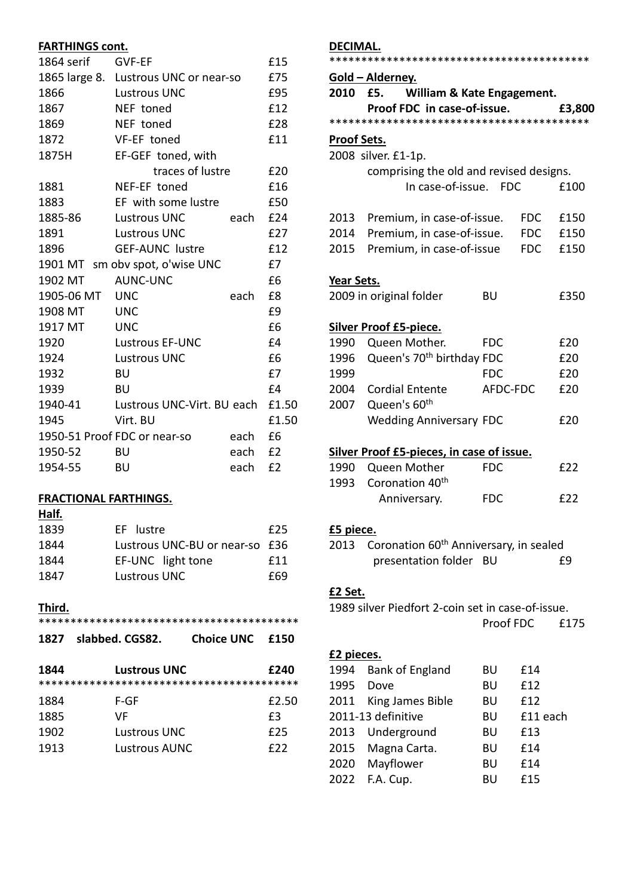## **FARTHINGS cont.**

| 1864 serif | <b>GVF-EF</b>                         |      | £15   |
|------------|---------------------------------------|------|-------|
|            | 1865 large 8. Lustrous UNC or near-so |      | £75   |
| 1866       | <b>Lustrous UNC</b>                   |      | £95   |
| 1867       | NEF toned                             |      | £12   |
| 1869       | NEF toned                             |      | £28   |
| 1872       | VF-EF toned                           |      | £11   |
| 1875H      | EF-GEF toned, with                    |      |       |
|            | traces of lustre                      |      | £20   |
| 1881       | NEF-EF toned                          |      | £16   |
| 1883       | EF with some lustre                   |      | £50   |
| 1885-86    | <b>Lustrous UNC</b>                   | each | £24   |
| 1891       | <b>Lustrous UNC</b>                   |      | £27   |
| 1896       | <b>GEF-AUNC lustre</b>                |      | £12   |
|            | 1901 MT sm obv spot, o'wise UNC       |      | £7    |
| 1902 MT    | <b>AUNC-UNC</b>                       |      | £6    |
| 1905-06 MT | UNC                                   | each | £8    |
| 1908 MT    | <b>UNC</b>                            |      | £9    |
| 1917 MT    | <b>UNC</b>                            |      | £6    |
| 1920       | <b>Lustrous EF-UNC</b>                |      | £4    |
| 1924       | <b>Lustrous UNC</b>                   |      | £6    |
| 1932       | BU                                    |      | £7    |
| 1939       | BU                                    |      | £4    |
| 1940-41    | Lustrous UNC-Virt. BU each            |      | £1.50 |
| 1945       | Virt. BU                              |      | £1.50 |
|            | 1950-51 Proof FDC or near-so          | each | £6    |
| 1950-52    | BU                                    | each | E2    |
| 1954-55    | BU                                    | each | £2    |

## **FRACTIONAL FARTHINGS.**

| . .<br>۰.<br>w<br>. .<br>٠ |  |
|----------------------------|--|
|                            |  |

| 1839 | EF lustre                      | £25 |
|------|--------------------------------|-----|
| 1844 | Lustrous UNC-BU or near-so £36 |     |
| 1844 | EF-UNC light tone              | f11 |
| 1847 | Lustrous UNC                   | £69 |

## **Third.**

| 1827 | slabbed. CGS82. | <b>Choice UNC</b> | £150  |
|------|-----------------|-------------------|-------|
| 1844 | Lustrous UNC    |                   | £240  |
| 1884 | F-GF            |                   | £2.50 |
| 1885 | VF              |                   | £3    |
| 1902 | Lustrous UNC    |                   | £25   |
| 1913 | Lustrous AUNC   |                   | f22   |

## **DECIMAL.**

|                          | Gold – Alderney.                                   |            |            |        |
|--------------------------|----------------------------------------------------|------------|------------|--------|
| 2010 -                   | £5.<br>William & Kate Engagement.                  |            |            |        |
|                          | Proof FDC in case-of-issue.                        |            |            | £3,800 |
|                          |                                                    |            |            |        |
| <b>Proof Sets.</b>       |                                                    |            |            |        |
|                          | 2008 silver. £1-1p.                                |            |            |        |
|                          | comprising the old and revised designs.            |            |            |        |
|                          | In case-of-issue. FDC                              |            |            | £100   |
|                          |                                                    |            |            |        |
| 2013                     | Premium, in case-of-issue.                         |            | <b>FDC</b> | £150   |
| 2014                     | Premium, in case-of-issue.                         |            | <b>FDC</b> | £150   |
| 2015                     | Premium, in case-of-issue                          |            | <b>FDC</b> | £150   |
| Year Sets.               |                                                    |            |            |        |
|                          | 2009 in original folder                            | BU         |            | £350   |
|                          |                                                    |            |            |        |
|                          | <b>Silver Proof £5-piece.</b>                      |            |            |        |
| 1990                     | Queen Mother.                                      | <b>FDC</b> |            | £20    |
| 1996                     | Queen's 70 <sup>th</sup> birthday FDC              |            |            | £20    |
| 1999                     |                                                    | <b>FDC</b> |            | £20    |
| 2004                     | <b>Cordial Entente</b>                             | AFDC-FDC   |            | £20    |
| 2007                     | Queen's 60 <sup>th</sup>                           |            |            |        |
|                          | <b>Wedding Anniversary FDC</b>                     |            |            | £20    |
|                          |                                                    |            |            |        |
|                          | Silver Proof £5-pieces, in case of issue.          |            |            |        |
| 1990                     | Queen Mother                                       | <b>FDC</b> |            | £22    |
| 1993                     | Coronation 40 <sup>th</sup>                        |            |            |        |
|                          | Anniversary.                                       | <b>FDC</b> |            | £22    |
|                          |                                                    |            |            |        |
| <u>£5 piece.</u><br>2013 | Coronation 60 <sup>th</sup> Anniversary, in sealed |            |            |        |
|                          | presentation folder                                | BU         |            | £9     |
|                          |                                                    |            |            |        |
| <u>£2 Set.</u>           |                                                    |            |            |        |
|                          | 1989 silver Piedfort 2-coin set in case-of-issue.  |            |            |        |
|                          |                                                    | Proof FDC  |            | £175   |
|                          |                                                    |            |            |        |
| <u>£2 pieces.</u>        |                                                    |            |            |        |
| 1994                     | <b>Bank of England</b>                             | BU         | £14        |        |
| 1995                     | Dove                                               | BU         | £12        |        |
| 2011                     | King James Bible                                   | BU         | £12        |        |
|                          | 2011-13 definitive                                 | BU         | £11 each   |        |
| 2013                     | Underground                                        | BU         | £13        |        |
| 2015                     | Magna Carta.                                       | BU         | £14        |        |
| 2020                     | Mayflower                                          | BU         | £14        |        |
| 2022                     | F.A. Cup.                                          | BU         | £15        |        |
|                          |                                                    |            |            |        |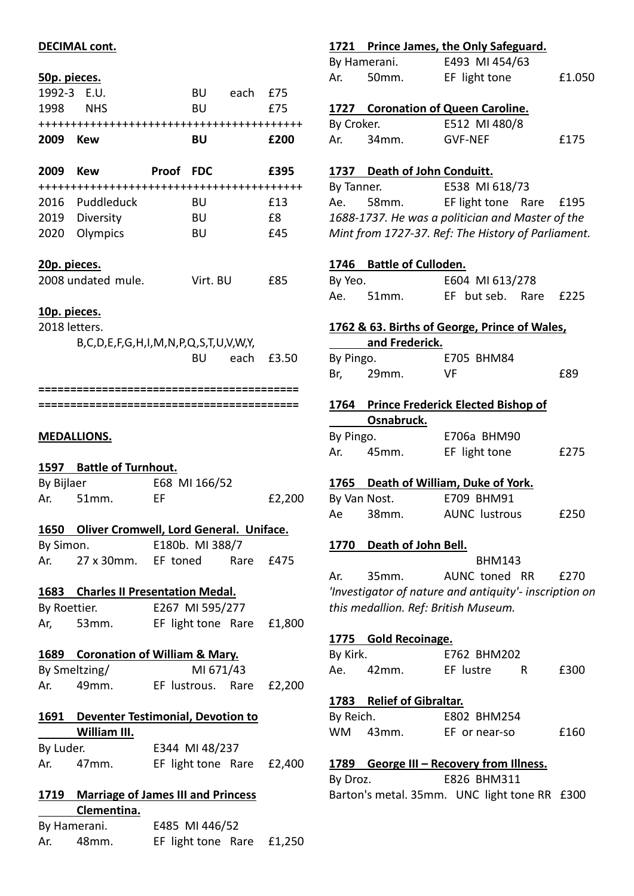#### **DECIMAL cont.**

#### **50p. pieces.**

| <u>50p. pieces.</u> |                                                       |      |                |               |        |
|---------------------|-------------------------------------------------------|------|----------------|---------------|--------|
|                     | 1992-3 E.U.<br>1998 NHS                               |      | <b>BU</b>      | BU each £75   | £75    |
|                     |                                                       |      |                |               |        |
|                     |                                                       |      |                |               |        |
| 2009 Kew            |                                                       |      | BU             |               | £200   |
|                     | 2009 Kew Proof FDC                                    |      |                |               | £395   |
|                     |                                                       |      |                |               |        |
|                     | 2016 Puddleduck                                       |      | BU             |               | £13    |
|                     | 2019 Diversity                                        |      | <b>BU</b>      |               | £8     |
|                     | 2020 Olympics                                         |      | <b>BU</b>      |               | £45    |
| <u>20p. pieces.</u> |                                                       |      |                |               |        |
|                     | 2008 undated mule. Virt. BU                           |      |                |               | £85    |
| <u>10p. pieces.</u> |                                                       |      |                |               |        |
| 2018 letters.       |                                                       |      |                |               |        |
|                     | B, C, D, E, F, G, H, I, M, N, P, Q, S, T, U, V, W, Y, |      |                |               |        |
|                     |                                                       |      |                | BU each £3.50 |        |
|                     |                                                       |      |                |               |        |
|                     |                                                       |      |                |               |        |
|                     |                                                       |      |                |               |        |
|                     |                                                       |      |                |               |        |
|                     | <u>MEDALLIONS.</u>                                    |      |                |               |        |
|                     | 1597 Battle of Turnhout.                              |      |                |               |        |
|                     | By Bijlaer 668 MI 166/52                              |      |                |               |        |
| Ar.                 | 51mm.                                                 | - EF |                |               | £2,200 |
|                     | 1650 Oliver Cromwell, Lord General. Uniface.          |      |                |               |        |
| By Simon.           | E180b. MI 388/7                                       |      |                |               |        |
|                     | Ar. 27 x 30mm. EF toned Rare £475                     |      |                |               |        |
|                     | 1683 Charles II Presentation Medal.                   |      |                |               |        |
|                     | By Roettier. 6267 MI 595/277                          |      |                |               |        |
|                     | Ar, 53mm. EF light tone Rare £1,800                   |      |                |               |        |
|                     | 1689 Coronation of William & Mary.                    |      |                |               |        |
|                     | By Smeltzing/                                         |      | MI 671/43      |               |        |
|                     | Ar. 49mm. EF lustrous. Rare £2,200                    |      |                |               |        |
|                     |                                                       |      |                |               |        |
|                     | <b>1691</b> Deventer Testimonial, Devotion to         |      |                |               |        |
|                     | William III.                                          |      |                |               |        |
| By Luder.           | E344 MI 48/237                                        |      |                |               |        |
|                     | Ar. 47mm. EF light tone Rare £2,400                   |      |                |               |        |
|                     | 1719 Marriage of James III and Princess               |      |                |               |        |
|                     | Clementina.                                           |      |                |               |        |
|                     | By Hamerani.                                          |      | E485 MI 446/52 |               |        |
|                     |                                                       |      |                |               |        |

Ar. 48mm. EF light tone Rare £1,250

### **1721 Prince James, the Only Safeguard.**

|     | By Hamerani. | E493 MI 454/63 |        |
|-----|--------------|----------------|--------|
| Ar. | .50mm.       | EF light tone  | £1.050 |

**1727 Coronation of Queen Caroline.**

|     | By Croker.         | E512 MI 480/8  |      |
|-----|--------------------|----------------|------|
| Ar. | 34 <sub>mm</sub> . | <b>GVF-NEF</b> | £175 |

#### **1737 Death of John Conduitt.**

By Tanner. E538 MI 618/73 Ae. 58mm. EF light tone Rare £195 *1688-1737. He was a politician and Master of the Mint from 1727-37. Ref: The History of Parliament.*

#### **1746 Battle of Culloden.**

| By Yeo. |       | E604 MI 613/278       |  |  |  |
|---------|-------|-----------------------|--|--|--|
| Ae.     | 51mm. | EF but seb. Rare £225 |  |  |  |

#### **1762 & 63. Births of George, Prince of Wales,**

|     | By Pingo. | E705 BHM84 |     |
|-----|-----------|------------|-----|
| Br. | 29mm.     | VF.        | £89 |

| 1764 Prince Frederick Elected Bishop of |  |
|-----------------------------------------|--|
| Osnabruck.                              |  |
|                                         |  |

| By Pingo. |       | E706a BHM90   |      |
|-----------|-------|---------------|------|
| Ar.       | 45mm. | EF light tone | £275 |

#### **1765 Death of William, Duke of York.**

|    | By Van Nost.       | E709 BHM91           |      |
|----|--------------------|----------------------|------|
| Ae | 38 <sub>mm</sub> . | <b>AUNC</b> lustrous | £250 |

#### **1770 Death of John Bell.**

 BHM143 Ar. 35mm. AUNC toned RR £270 *'Investigator of nature and antiquity'- inscription on this medallion. Ref: British Museum.*

#### **1775 Gold Recoinage.**

| By Kirk. |          | E762 BHM202 |      |
|----------|----------|-------------|------|
| Ae.      | $42$ mm. | EF lustre   | £300 |

#### **1783 Relief of Gibraltar.**

| By Reich. |          | E802 BHM254   |      |
|-----------|----------|---------------|------|
|           | WM 43mm. | EF or near-so | £160 |

#### **1789 George III – Recovery from Illness.**

By Droz. E826 BHM311 Barton's metal. 35mm. UNC light tone RR £300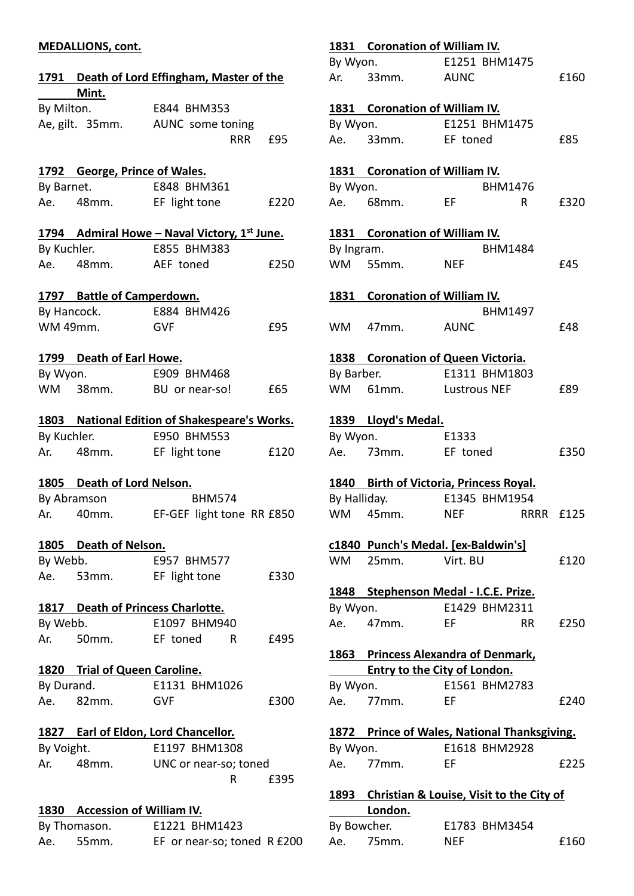## **MEDALLIONS, cont.**

|             |                                   | 1791 Death of Lord Effingham, Master of the     |      |
|-------------|-----------------------------------|-------------------------------------------------|------|
|             | Mint.                             |                                                 |      |
|             | By Milton.                        | E844 BHM353<br>Ae, gilt. 35mm. AUNC some toning |      |
|             |                                   | <b>RRR</b>                                      | £95  |
|             | 1792 George, Prince of Wales.     |                                                 |      |
|             | By Barnet.                        | E848 BHM361                                     |      |
|             | Ae. 48mm.                         | EF light tone                                   | £220 |
|             |                                   | 1794 Admiral Howe - Naval Victory, 1st June.    |      |
|             | By Kuchler.                       | E855 BHM383                                     |      |
|             | Ae. 48mm.                         | AEF toned                                       | £250 |
|             | 1797 Battle of Camperdown.        |                                                 |      |
|             |                                   | By Hancock. E884 BHM426                         |      |
| WM 49mm.    |                                   | <b>GVF</b>                                      | £95  |
|             |                                   |                                                 |      |
|             | 1799 Death of Earl Howe.          |                                                 |      |
| By Wyon.    |                                   | E909 BHM468                                     |      |
|             |                                   | WM 38mm. BU or near-so!                         | £65  |
|             |                                   |                                                 |      |
|             |                                   | 1803 National Edition of Shakespeare's Works.   |      |
|             | By Kuchler.                       | E950 BHM553                                     |      |
|             |                                   | Ar. 48mm. EF light tone                         | £120 |
|             | 1805 Death of Lord Nelson.        |                                                 |      |
| By Abramson |                                   | <b>BHM574</b>                                   |      |
|             | Ar. 40mm.                         | EF-GEF light tone RR £850                       |      |
|             |                                   |                                                 |      |
| By Webb.    | 1805 Death of Nelson.             | E957 BHM577                                     |      |
|             | Ae. 53mm.                         | EF light tone                                   | £330 |
|             |                                   |                                                 |      |
|             | 1817 Death of Princess Charlotte. |                                                 |      |
| By Webb.    |                                   | E1097 BHM940                                    |      |
|             | Ar. 50mm.                         | EF toned<br>R –                                 | £495 |
|             | 1820 Trial of Queen Caroline.     |                                                 |      |
| By Durand.  |                                   | E1131 BHM1026                                   |      |
|             | Ae. 82mm.                         | <b>GVF</b>                                      | £300 |
|             |                                   | 1827 Earl of Eldon, Lord Chancellor.            |      |
| By Voight.  |                                   | E1197 BHM1308                                   |      |
|             | Ar. 48mm.                         | UNC or near-so; toned                           |      |
|             |                                   | R                                               | £395 |
|             |                                   |                                                 |      |
|             | 1830 Accession of William IV.     |                                                 |      |
|             | By Thomason.                      | E1221 BHM1423                                   |      |

Ae. 55mm. EF or near-so; toned R £200

|              | 1831 Coronation of William IV.                |                |      |      |
|--------------|-----------------------------------------------|----------------|------|------|
|              | By Wyon.                                      | E1251 BHM1475  |      |      |
|              | Ar. 33mm. AUNC                                |                |      | £160 |
|              | 1831 Coronation of William IV.                |                |      |      |
|              | By Wyon. E1251 BHM1475                        |                |      |      |
|              | Ae. 33mm. EF toned                            |                |      | £85  |
|              | 1831 Coronation of William IV.                |                |      |      |
| By Wyon.     |                                               | <b>BHM1476</b> |      |      |
|              | Ae. 68mm.                                     | EF.            | R.   | £320 |
|              | 1831 Coronation of William IV.                |                |      |      |
| By Ingram.   |                                               | <b>BHM1484</b> |      |      |
|              | WM 55mm.                                      | <b>NEF</b>     |      | £45  |
|              |                                               |                |      |      |
|              | 1831 Coronation of William IV.                |                |      |      |
|              |                                               | <b>BHM1497</b> |      |      |
|              | WM 47mm.                                      | <b>AUNC</b>    |      | £48  |
|              | 1838 Coronation of Queen Victoria.            |                |      |      |
|              | By Barber. E1311 BHM1803                      |                |      |      |
|              | WM 61mm. Lustrous NEF                         |                |      | £89  |
|              | 1839 Lloyd's Medal.                           |                |      |      |
|              | By Wyon.                                      | E1333          |      |      |
|              | Ae. 73mm.                                     | EF toned       |      | £350 |
|              | 1840 Birth of Victoria, Princess Royal.       |                |      |      |
| By Halliday. |                                               | E1345 BHM1954  |      |      |
| <b>WM</b>    | 45mm.                                         | <b>NEF</b>     | RRRR | £125 |
|              |                                               |                |      |      |
|              | c1840 Punch's Medal. [ex-Baldwin's]           |                |      |      |
| <b>WM</b>    | 25mm.                                         | Virt. BU       |      | £120 |
|              | 1848 Stephenson Medal - I.C.E. Prize.         |                |      |      |
| By Wyon.     |                                               | E1429 BHM2311  |      |      |
|              | Ae. 47mm.                                     | <b>EF</b>      | RR I | £250 |
|              | 1863 Princess Alexandra of Denmark,           |                |      |      |
|              | <b>Entry to the City of London.</b>           |                |      |      |
| By Wyon.     |                                               | E1561 BHM2783  |      |      |
| Ae.          | $77$ mm.                                      | EF             |      | £240 |
|              |                                               |                |      |      |
|              | 1872 Prince of Wales, National Thanksgiving.  |                |      |      |
| By Wyon.     |                                               | E1618 BHM2928  |      |      |
|              | Ae. 77mm.                                     | EF             |      | £225 |
|              | 1893 Christian & Louise, Visit to the City of |                |      |      |
|              | London.                                       |                |      |      |
|              | By Bowcher.                                   | E1783 BHM3454  |      |      |

Ae. 75mm. NEF 6160